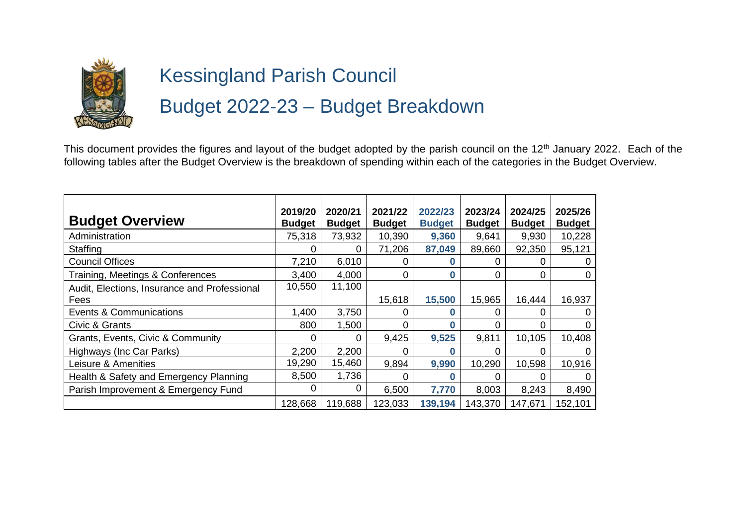

## Kessingland Parish Council Budget 2022-23 – Budget Breakdown

This document provides the figures and layout of the budget adopted by the parish council on the 12<sup>th</sup> January 2022. Each of the following tables after the Budget Overview is the breakdown of spending within each of the categories in the Budget Overview.

| <b>Budget Overview</b>                       | 2019/20<br><b>Budget</b> | 2020/21<br><b>Budget</b> | 2021/22<br><b>Budget</b> | 2022/23<br><b>Budget</b> | 2023/24<br><b>Budget</b> | 2024/25<br><b>Budget</b> | 2025/26<br><b>Budget</b> |
|----------------------------------------------|--------------------------|--------------------------|--------------------------|--------------------------|--------------------------|--------------------------|--------------------------|
| Administration                               | 75,318                   | 73,932                   | 10,390                   | 9,360                    | 9,641                    | 9,930                    | 10,228                   |
| Staffing                                     | O                        | 0                        | 71,206                   | 87,049                   | 89,660                   | 92,350                   | 95,121                   |
| <b>Council Offices</b>                       | 7,210                    | 6,010                    |                          |                          |                          |                          |                          |
| Training, Meetings & Conferences             | 3,400                    | 4,000                    | 0                        | $\bf{0}$                 | 0                        | 0                        | 0                        |
| Audit, Elections, Insurance and Professional | 10,550                   | 11,100                   |                          |                          |                          |                          |                          |
| Fees                                         |                          |                          | 15,618                   | 15,500                   | 15,965                   | 16,444                   | 16,937                   |
| <b>Events &amp; Communications</b>           | 1,400                    | 3,750                    |                          | O                        |                          | ი                        |                          |
| Civic & Grants                               | 800                      | 1,500                    | 0                        | 0                        |                          |                          |                          |
| Grants, Events, Civic & Community            | 0                        | 0                        | 9,425                    | 9,525                    | 9,811                    | 10,105                   | 10,408                   |
| Highways (Inc Car Parks)                     | 2,200                    | 2,200                    | 0                        | O                        | 0                        | O                        |                          |
| Leisure & Amenities                          | 19,290                   | 15,460                   | 9,894                    | 9,990                    | 10,290                   | 10,598                   | 10,916                   |
| Health & Safety and Emergency Planning       | 8,500                    | 1,736                    |                          |                          |                          |                          |                          |
| Parish Improvement & Emergency Fund          | 0                        | 0                        | 6,500                    | 7,770                    | 8,003                    | 8,243                    | 8,490                    |
|                                              | 128,668                  | 119,688                  | 123,033                  | 139,194                  | 143,370                  | 147,671                  | 152,101                  |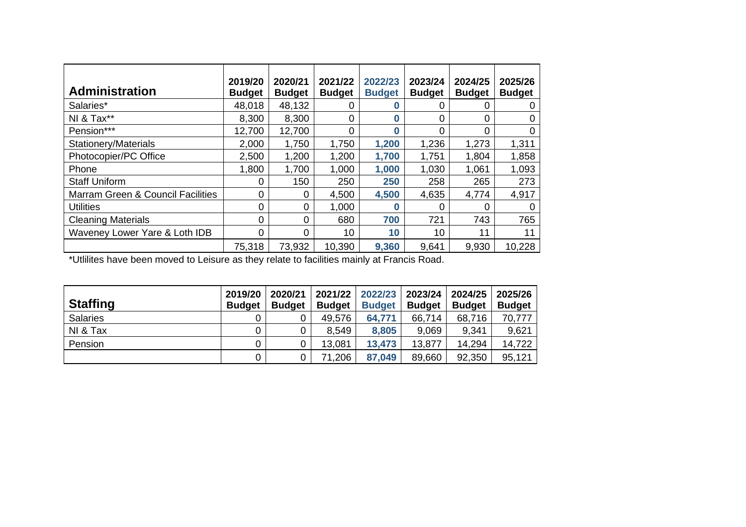| <b>Administration</b>                        | 2019/20<br><b>Budget</b> | 2020/21<br><b>Budget</b> | 2021/22<br><b>Budget</b> | 2022/23<br><b>Budget</b> | 2023/24<br><b>Budget</b> | 2024/25<br><b>Budget</b> | 2025/26<br><b>Budget</b> |
|----------------------------------------------|--------------------------|--------------------------|--------------------------|--------------------------|--------------------------|--------------------------|--------------------------|
| Salaries*                                    | 48,018                   | 48,132                   | 0                        | $\bf{0}$                 | 0                        |                          | 0                        |
| NI & Tax**                                   | 8,300                    | 8,300                    | 0                        | $\bf{0}$                 | 0                        | 0                        | 0                        |
| Pension***                                   | 12,700                   | 12,700                   | 0                        | $\mathbf{0}$             | $\Omega$                 | 0                        | 0                        |
| <b>Stationery/Materials</b>                  | 2,000                    | 1,750                    | 1,750                    | 1,200                    | 1,236                    | 1,273                    | 1,311                    |
| Photocopier/PC Office                        | 2,500                    | 1,200                    | 1,200                    | 1,700                    | 1,751                    | 1,804                    | 1,858                    |
| Phone                                        | 1,800                    | 1,700                    | 1,000                    | 1,000                    | 1,030                    | 1,061                    | 1,093                    |
| <b>Staff Uniform</b>                         | 0                        | 150                      | 250                      | 250                      | 258                      | 265                      | 273                      |
| <b>Marram Green &amp; Council Facilities</b> | 0                        | 0                        | 4,500                    | 4,500                    | 4,635                    | 4,774                    | 4,917                    |
| <b>Utilities</b>                             | 0                        | 0                        | 1,000                    | $\mathbf{0}$             | 0                        | 0                        | $\Omega$                 |
| <b>Cleaning Materials</b>                    | 0                        | 0                        | 680                      | 700                      | 721                      | 743                      | 765                      |
| Waveney Lower Yare & Loth IDB                | 0                        | 0                        | 10                       | 10                       | 10                       | 11                       | 11                       |
|                                              | 75,318                   | 73,932                   | 10,390                   | 9,360                    | 9,641                    | 9,930                    | 10,228                   |

\*Utlilites have been moved to Leisure as they relate to facilities mainly at Francis Road.

| <b>Staffing</b> | 2019/20<br><b>Budget</b> | 2020/21<br><b>Budget</b> | 2021/22<br><b>Budget</b> | 2022/23<br><b>Budget</b> | 2023/24<br><b>Budget</b> | 2024/25<br><b>Budget</b> | 2025/26<br><b>Budget</b> |
|-----------------|--------------------------|--------------------------|--------------------------|--------------------------|--------------------------|--------------------------|--------------------------|
| <b>Salaries</b> |                          |                          | 49,576                   | 64,771                   | 66,714                   | 68,716                   | 70,777                   |
| NI & Tax        |                          | 0                        | 8,549                    | 8,805                    | 9,069                    | 9,341                    | 9,621                    |
| Pension         |                          | 0                        | 13,081                   | 13,473                   | 13,877                   | 14,294                   | 14,722                   |
|                 |                          | 0                        | 71,206                   | 87,049                   | 89,660                   | 92,350                   | 95,121                   |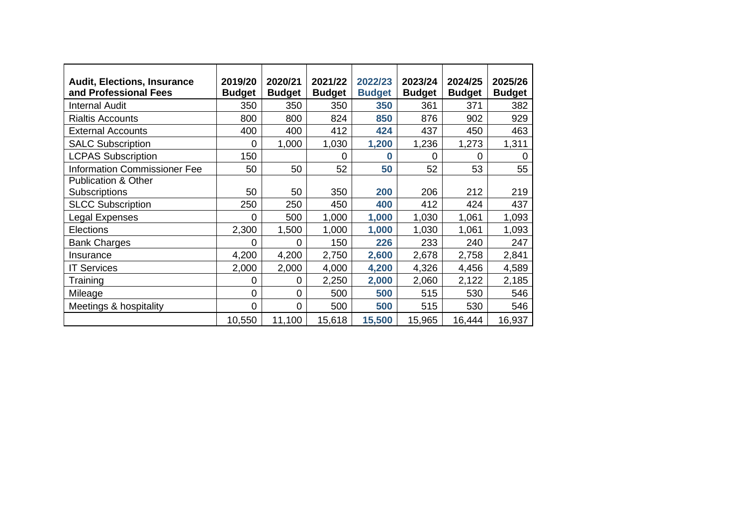| <b>Audit, Elections, Insurance</b><br>and Professional Fees | 2019/20<br><b>Budget</b> | 2020/21<br><b>Budget</b> | 2021/22<br><b>Budget</b> | 2022/23<br><b>Budget</b> | 2023/24<br><b>Budget</b> | 2024/25<br><b>Budget</b> | 2025/26<br><b>Budget</b> |
|-------------------------------------------------------------|--------------------------|--------------------------|--------------------------|--------------------------|--------------------------|--------------------------|--------------------------|
| <b>Internal Audit</b>                                       | 350                      | 350                      | 350                      | 350                      | 361                      | 371                      | 382                      |
| <b>Rialtis Accounts</b>                                     | 800                      | 800                      | 824                      | 850                      | 876                      | 902                      | 929                      |
| <b>External Accounts</b>                                    | 400                      | 400                      | 412                      | 424                      | 437                      | 450                      | 463                      |
| <b>SALC Subscription</b>                                    | 0                        | 1,000                    | 1,030                    | 1,200                    | 1,236                    | 1,273                    | 1,311                    |
| <b>LCPAS Subscription</b>                                   | 150                      |                          | 0                        | $\bf{0}$                 | $\Omega$                 | 0                        | $\mathbf 0$              |
| <b>Information Commissioner Fee</b>                         | 50                       | 50                       | 52                       | 50                       | 52                       | 53                       | 55                       |
| <b>Publication &amp; Other</b>                              |                          |                          |                          |                          |                          |                          |                          |
| <b>Subscriptions</b>                                        | 50                       | 50                       | 350                      | 200                      | 206                      | 212                      | 219                      |
| <b>SLCC Subscription</b>                                    | 250                      | 250                      | 450                      | 400                      | 412                      | 424                      | 437                      |
| Legal Expenses                                              | 0                        | 500                      | 1,000                    | 1,000                    | 1,030                    | 1,061                    | 1,093                    |
| Elections                                                   | 2,300                    | 1,500                    | 1,000                    | 1,000                    | 1,030                    | 1,061                    | 1,093                    |
| <b>Bank Charges</b>                                         | 0                        | 0                        | 150                      | 226                      | 233                      | 240                      | 247                      |
| Insurance                                                   | 4,200                    | 4,200                    | 2,750                    | 2,600                    | 2,678                    | 2,758                    | 2,841                    |
| <b>IT Services</b>                                          | 2,000                    | 2,000                    | 4,000                    | 4,200                    | 4,326                    | 4,456                    | 4,589                    |
| Training                                                    | 0                        | 0                        | 2,250                    | 2,000                    | 2,060                    | 2,122                    | 2,185                    |
| Mileage                                                     | 0                        | 0                        | 500                      | 500                      | 515                      | 530                      | 546                      |
| Meetings & hospitality                                      | 0                        | 0                        | 500                      | 500                      | 515                      | 530                      | 546                      |
|                                                             | 10,550                   | 11,100                   | 15,618                   | 15,500                   | 15,965                   | 16,444                   | 16,937                   |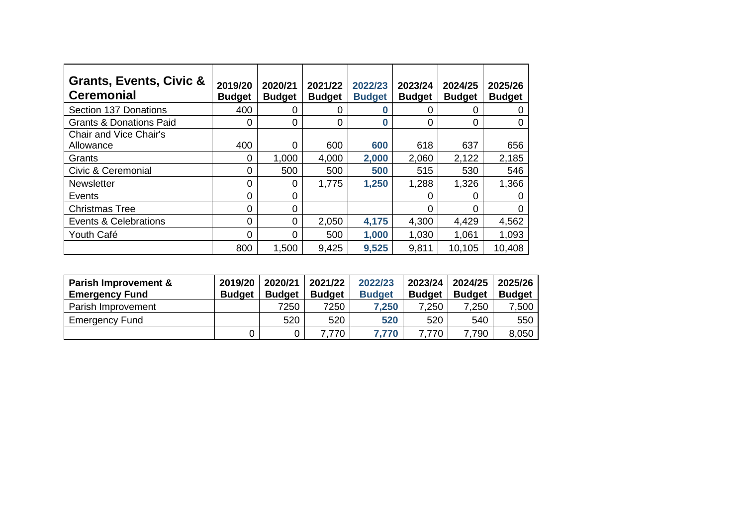| Grants, Events, Civic &<br><b>Ceremonial</b> | 2019/20<br><b>Budget</b> | 2020/21<br><b>Budget</b> | 2021/22<br><b>Budget</b> | 2022/23<br><b>Budget</b> | 2023/24<br><b>Budget</b> | 2024/25<br><b>Budget</b> | 2025/26<br><b>Budget</b> |
|----------------------------------------------|--------------------------|--------------------------|--------------------------|--------------------------|--------------------------|--------------------------|--------------------------|
| Section 137 Donations                        | 400                      | 0                        | 0                        |                          | 0                        | $\Omega$                 | 0                        |
| <b>Grants &amp; Donations Paid</b>           | 0                        | $\Omega$                 | 0                        | $\bf{0}$                 | 0                        | 0                        | 0                        |
| <b>Chair and Vice Chair's</b>                |                          |                          |                          |                          |                          |                          |                          |
| Allowance                                    | 400                      | $\Omega$                 | 600                      | 600                      | 618                      | 637                      | 656                      |
| Grants                                       | 0                        | 1,000                    | 4,000                    | 2,000                    | 2,060                    | 2,122                    | 2,185                    |
| Civic & Ceremonial                           | 0                        | 500                      | 500                      | 500                      | 515                      | 530                      | 546                      |
| <b>Newsletter</b>                            | 0                        | $\Omega$                 | 1,775                    | 1,250                    | 1,288                    | 1,326                    | 1,366                    |
| Events                                       | 0                        | $\Omega$                 |                          |                          | 0                        | $\Omega$                 | 0                        |
| <b>Christmas Tree</b>                        | 0                        | $\Omega$                 |                          |                          | 0                        | $\Omega$                 | $\Omega$                 |
| Events & Celebrations                        | 0                        | $\Omega$                 | 2,050                    | 4,175                    | 4,300                    | 4,429                    | 4,562                    |
| Youth Café                                   | 0                        | $\Omega$                 | 500                      | 1,000                    | 1,030                    | 1,061                    | 1,093                    |
|                                              | 800                      | 1,500                    | 9,425                    | 9,525                    | 9,811                    | 10,105                   | 10,408                   |

| Parish Improvement &<br><b>Emergency Fund</b> | 2019/20<br><b>Budget</b> | 2020/21<br><b>Budget</b> | 2021/22<br><b>Budget</b> | 2022/23<br>2023/24<br><b>Budget</b><br><b>Budget</b> |       | 2024/25<br><b>Budget</b> | 2025/26<br><b>Budget</b> |
|-----------------------------------------------|--------------------------|--------------------------|--------------------------|------------------------------------------------------|-------|--------------------------|--------------------------|
| Parish Improvement                            |                          | 7250                     | 7250                     | 7,250                                                | 7,250 | 7,250                    | 7,500                    |
| <b>Emergency Fund</b>                         |                          | 520                      | 520                      | 520                                                  | 520   | 540                      | 550                      |
|                                               |                          |                          | .770                     | 7.770                                                | 7.770 | ,790                     | 8,050                    |